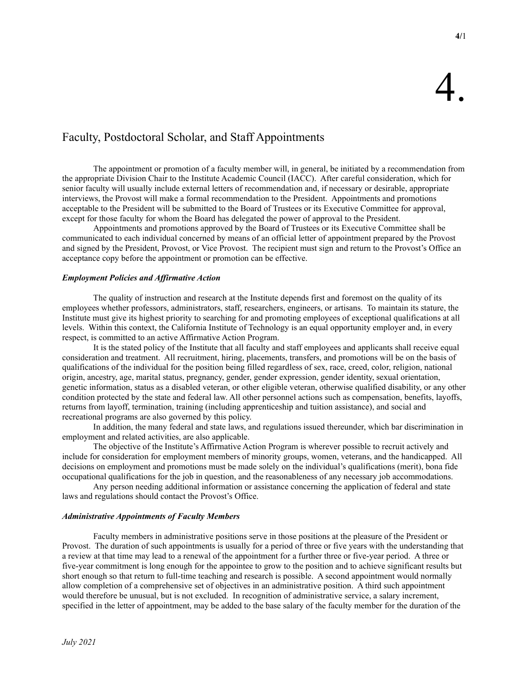# Faculty, Postdoctoral Scholar, and Staff Appointments

The appointment or promotion of a faculty member will, in general, be initiated by a recommendation from the appropriate Division Chair to the Institute Academic Council (IACC). After careful consideration, which for senior faculty will usually include external letters of recommendation and, if necessary or desirable, appropriate interviews, the Provost will make a formal recommendation to the President. Appointments and promotions acceptable to the President will be submitted to the Board of Trustees or its Executive Committee for approval, except for those faculty for whom the Board has delegated the power of approval to the President.

Appointments and promotions approved by the Board of Trustees or its Executive Committee shall be communicated to each individual concerned by means of an official letter of appointment prepared by the Provost and signed by the President, Provost, or Vice Provost. The recipient must sign and return to the Provost's Office an acceptance copy before the appointment or promotion can be effective.

# *Employment Policies and Affirmative Action*

The quality of instruction and research at the Institute depends first and foremost on the quality of its employees whether professors, administrators, staff, researchers, engineers, or artisans. To maintain its stature, the Institute must give its highest priority to searching for and promoting employees of exceptional qualifications at all levels. Within this context, the California Institute of Technology is an equal opportunity employer and, in every respect, is committed to an active Affirmative Action Program.

It is the stated policy of the Institute that all faculty and staff employees and applicants shall receive equal consideration and treatment. All recruitment, hiring, placements, transfers, and promotions will be on the basis of qualifications of the individual for the position being filled regardless of sex, race, creed, color, religion, national origin, ancestry, age, marital status, pregnancy, gender, gender expression, gender identity, sexual orientation, genetic information, status as a disabled veteran, or other eligible veteran, otherwise qualified disability, or any other condition protected by the state and federal law. All other personnel actions such as compensation, benefits, layoffs, returns from layoff, termination, training (including apprenticeship and tuition assistance), and social and recreational programs are also governed by this policy.

In addition, the many federal and state laws, and regulations issued thereunder, which bar discrimination in employment and related activities, are also applicable.

The objective of the Institute's Affirmative Action Program is wherever possible to recruit actively and include for consideration for employment members of minority groups, women, veterans, and the handicapped. All decisions on employment and promotions must be made solely on the individual's qualifications (merit), bona fide occupational qualifications for the job in question, and the reasonableness of any necessary job accommodations.

Any person needing additional information or assistance concerning the application of federal and state laws and regulations should contact the Provost's Office.

# *Administrative Appointments of Faculty Members*

Faculty members in administrative positions serve in those positions at the pleasure of the President or Provost. The duration of such appointments is usually for a period of three or five years with the understanding that a review at that time may lead to a renewal of the appointment for a further three or five-year period. A three or five-year commitment is long enough for the appointee to grow to the position and to achieve significant results but short enough so that return to full-time teaching and research is possible. A second appointment would normally allow completion of a comprehensive set of objectives in an administrative position. A third such appointment would therefore be unusual, but is not excluded. In recognition of administrative service, a salary increment, specified in the letter of appointment, may be added to the base salary of the faculty member for the duration of the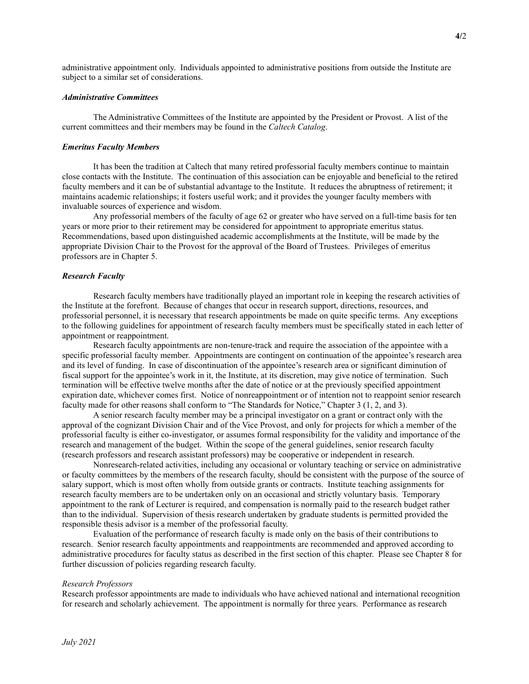administrative appointment only. Individuals appointed to administrative positions from outside the Institute are subject to a similar set of considerations.

#### *Administrative Committees*

The Administrative Committees of the Institute are appointed by the President or Provost. A list of the current committees and their members may be found in the *Caltech Catalog*.

## *Emeritus Faculty Members*

It has been the tradition at Caltech that many retired professorial faculty members continue to maintain close contacts with the Institute. The continuation of this association can be enjoyable and beneficial to the retired faculty members and it can be of substantial advantage to the Institute. It reduces the abruptness of retirement; it maintains academic relationships; it fosters useful work; and it provides the younger faculty members with invaluable sources of experience and wisdom.

Any professorial members of the faculty of age 62 or greater who have served on a full-time basis for ten years or more prior to their retirement may be considered for appointment to appropriate emeritus status. Recommendations, based upon distinguished academic accomplishments at the Institute, will be made by the appropriate Division Chair to the Provost for the approval of the Board of Trustees. Privileges of emeritus professors are in Chapter 5.

### *Research Faculty*

Research faculty members have traditionally played an important role in keeping the research activities of the Institute at the forefront. Because of changes that occur in research support, directions, resources, and professorial personnel, it is necessary that research appointments be made on quite specific terms. Any exceptions to the following guidelines for appointment of research faculty members must be specifically stated in each letter of appointment or reappointment.

Research faculty appointments are non-tenure-track and require the association of the appointee with a specific professorial faculty member. Appointments are contingent on continuation of the appointee's research area and its level of funding. In case of discontinuation of the appointee's research area or significant diminution of fiscal support for the appointee's work in it, the Institute, at its discretion, may give notice of termination. Such termination will be effective twelve months after the date of notice or at the previously specified appointment expiration date, whichever comes first. Notice of nonreappointment or of intention not to reappoint senior research faculty made for other reasons shall conform to "The Standards for Notice," Chapter 3 (1, 2, and 3).

A senior research faculty member may be a principal investigator on a grant or contract only with the approval of the cognizant Division Chair and of the Vice Provost, and only for projects for which a member of the professorial faculty is either co-investigator, or assumes formal responsibility for the validity and importance of the research and management of the budget. Within the scope of the general guidelines, senior research faculty (research professors and research assistant professors) may be cooperative or independent in research.

Nonresearch-related activities, including any occasional or voluntary teaching or service on administrative or faculty committees by the members of the research faculty, should be consistent with the purpose of the source of salary support, which is most often wholly from outside grants or contracts. Institute teaching assignments for research faculty members are to be undertaken only on an occasional and strictly voluntary basis. Temporary appointment to the rank of Lecturer is required, and compensation is normally paid to the research budget rather than to the individual. Supervision of thesis research undertaken by graduate students is permitted provided the responsible thesis advisor is a member of the professorial faculty.

Evaluation of the performance of research faculty is made only on the basis of their contributions to research. Senior research faculty appointments and reappointments are recommended and approved according to administrative procedures for faculty status as described in the first section of this chapter. Please see Chapter 8 for further discussion of policies regarding research faculty.

### *Research Professors*

Research professor appointments are made to individuals who have achieved national and international recognition for research and scholarly achievement. The appointment is normally for three years. Performance as research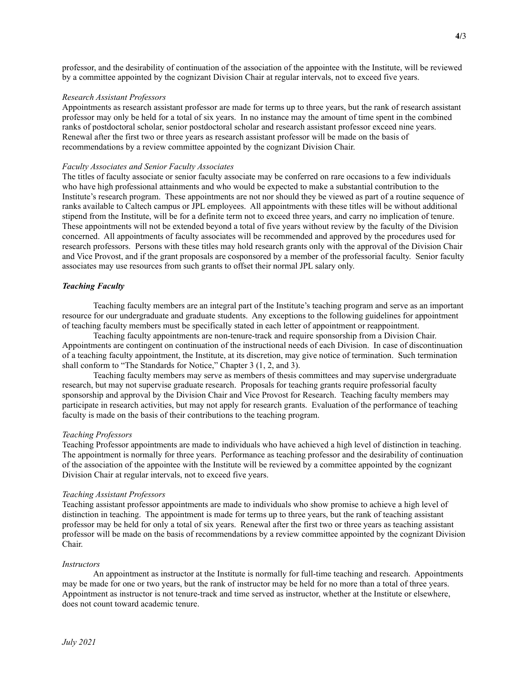professor, and the desirability of continuation of the association of the appointee with the Institute, will be reviewed by a committee appointed by the cognizant Division Chair at regular intervals, not to exceed five years.

### *Research Assistant Professors*

Appointments as research assistant professor are made for terms up to three years, but the rank of research assistant professor may only be held for a total of six years. In no instance may the amount of time spent in the combined ranks of postdoctoral scholar, senior postdoctoral scholar and research assistant professor exceed nine years. Renewal after the first two or three years as research assistant professor will be made on the basis of recommendations by a review committee appointed by the cognizant Division Chair.

#### *Faculty Associates and Senior Faculty Associates*

The titles of faculty associate or senior faculty associate may be conferred on rare occasions to a few individuals who have high professional attainments and who would be expected to make a substantial contribution to the Institute's research program. These appointments are not nor should they be viewed as part of a routine sequence of ranks available to Caltech campus or JPL employees. All appointments with these titles will be without additional stipend from the Institute, will be for a definite term not to exceed three years, and carry no implication of tenure. These appointments will not be extended beyond a total of five years without review by the faculty of the Division concerned. All appointments of faculty associates will be recommended and approved by the procedures used for research professors. Persons with these titles may hold research grants only with the approval of the Division Chair and Vice Provost, and if the grant proposals are cosponsored by a member of the professorial faculty. Senior faculty associates may use resources from such grants to offset their normal JPL salary only.

### *Teaching Faculty*

Teaching faculty members are an integral part of the Institute's teaching program and serve as an important resource for our undergraduate and graduate students. Any exceptions to the following guidelines for appointment of teaching faculty members must be specifically stated in each letter of appointment or reappointment.

Teaching faculty appointments are non-tenure-track and require sponsorship from a Division Chair. Appointments are contingent on continuation of the instructional needs of each Division. In case of discontinuation of a teaching faculty appointment, the Institute, at its discretion, may give notice of termination. Such termination shall conform to "The Standards for Notice," Chapter 3 (1, 2, and 3).

Teaching faculty members may serve as members of thesis committees and may supervise undergraduate research, but may not supervise graduate research. Proposals for teaching grants require professorial faculty sponsorship and approval by the Division Chair and Vice Provost for Research. Teaching faculty members may participate in research activities, but may not apply for research grants. Evaluation of the performance of teaching faculty is made on the basis of their contributions to the teaching program.

#### *Teaching Professors*

Teaching Professor appointments are made to individuals who have achieved a high level of distinction in teaching. The appointment is normally for three years. Performance as teaching professor and the desirability of continuation of the association of the appointee with the Institute will be reviewed by a committee appointed by the cognizant Division Chair at regular intervals, not to exceed five years.

#### *Teaching Assistant Professors*

Teaching assistant professor appointments are made to individuals who show promise to achieve a high level of distinction in teaching. The appointment is made for terms up to three years, but the rank of teaching assistant professor may be held for only a total of six years. Renewal after the first two or three years as teaching assistant professor will be made on the basis of recommendations by a review committee appointed by the cognizant Division Chair.

#### *Instructors*

An appointment as instructor at the Institute is normally for full-time teaching and research. Appointments may be made for one or two years, but the rank of instructor may be held for no more than a total of three years. Appointment as instructor is not tenure-track and time served as instructor, whether at the Institute or elsewhere, does not count toward academic tenure.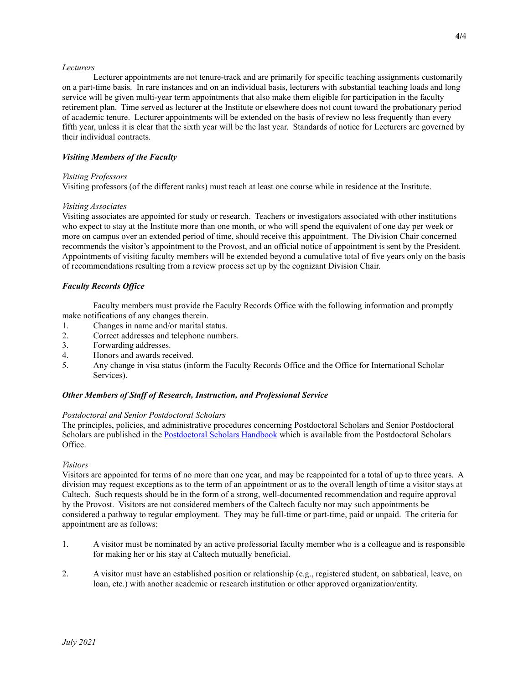### *Lecturers*

Lecturer appointments are not tenure-track and are primarily for specific teaching assignments customarily on a part-time basis. In rare instances and on an individual basis, lecturers with substantial teaching loads and long service will be given multi-year term appointments that also make them eligible for participation in the faculty retirement plan. Time served as lecturer at the Institute or elsewhere does not count toward the probationary period of academic tenure. Lecturer appointments will be extended on the basis of review no less frequently than every fifth year, unless it is clear that the sixth year will be the last year. Standards of notice for Lecturers are governed by their individual contracts.

# *Visiting Members of the Faculty*

## *Visiting Professors*

Visiting professors (of the different ranks) must teach at least one course while in residence at the Institute.

## *Visiting Associates*

Visiting associates are appointed for study or research. Teachers or investigators associated with other institutions who expect to stay at the Institute more than one month, or who will spend the equivalent of one day per week or more on campus over an extended period of time, should receive this appointment. The Division Chair concerned recommends the visitor's appointment to the Provost, and an official notice of appointment is sent by the President. Appointments of visiting faculty members will be extended beyond a cumulative total of five years only on the basis of recommendations resulting from a review process set up by the cognizant Division Chair.

# *Faculty Records Office*

Faculty members must provide the Faculty Records Office with the following information and promptly make notifications of any changes therein.

- 1. Changes in name and/or marital status.
- 2. Correct addresses and telephone numbers.
- 3. Forwarding addresses.
- 4. Honors and awards received.
- 5. Any change in visa status (inform the Faculty Records Office and the Office for International Scholar Services).

# *Other Members of Staff of Research, Instruction, and Professional Service*

# *Postdoctoral and Senior Postdoctoral Scholars*

The principles, policies, and administrative procedures concerning Postdoctoral Scholars and Senior Postdoctoral Scholars are published in the [Postdoctoral Scholars Handbook](http://provost.caltech.edu/documents/12210/Postdoctoral_Scholar_Handbook_Final_2-11-2020.pdf) which is available from the Postdoctoral Scholars Office.

# *Visitors*

Visitors are appointed for terms of no more than one year, and may be reappointed for a total of up to three years. A division may request exceptions as to the term of an appointment or as to the overall length of time a visitor stays at Caltech. Such requests should be in the form of a strong, well-documented recommendation and require approval by the Provost. Visitors are not considered members of the Caltech faculty nor may such appointments be considered a pathway to regular employment. They may be full-time or part-time, paid or unpaid. The criteria for appointment are as follows:

- 1. A visitor must be nominated by an active professorial faculty member who is a colleague and is responsible for making her or his stay at Caltech mutually beneficial.
- 2. A visitor must have an established position or relationship (e.g., registered student, on sabbatical, leave, on loan, etc.) with another academic or research institution or other approved organization/entity.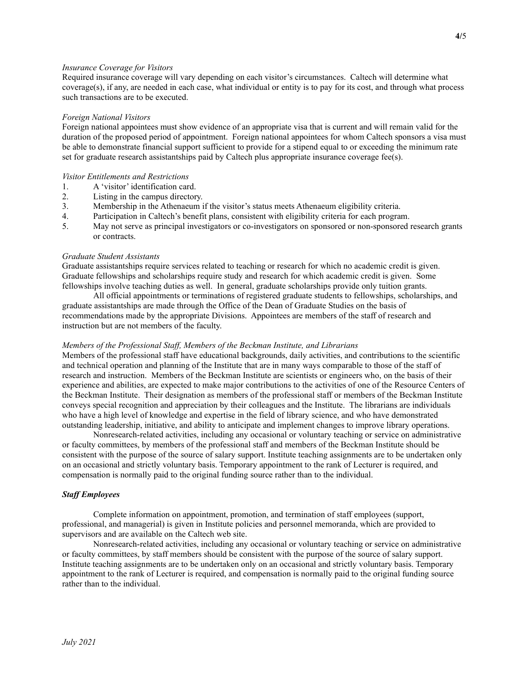### *Insurance Coverage for Visitors*

Required insurance coverage will vary depending on each visitor's circumstances. Caltech will determine what coverage(s), if any, are needed in each case, what individual or entity is to pay for its cost, and through what process such transactions are to be executed.

#### *Foreign National Visitors*

Foreign national appointees must show evidence of an appropriate visa that is current and will remain valid for the duration of the proposed period of appointment. Foreign national appointees for whom Caltech sponsors a visa must be able to demonstrate financial support sufficient to provide for a stipend equal to or exceeding the minimum rate set for graduate research assistantships paid by Caltech plus appropriate insurance coverage fee(s).

### *Visitor Entitlements and Restrictions*

- 1. A 'visitor' identification card.
- 2. Listing in the campus directory.
- 3. Membership in the Athenaeum if the visitor's status meets Athenaeum eligibility criteria.
- 4. Participation in Caltech's benefit plans, consistent with eligibility criteria for each program.
- 5. May not serve as principal investigators or co-investigators on sponsored or non-sponsored research grants or contracts.

## *Graduate Student Assistants*

Graduate assistantships require services related to teaching or research for which no academic credit is given. Graduate fellowships and scholarships require study and research for which academic credit is given. Some fellowships involve teaching duties as well. In general, graduate scholarships provide only tuition grants.

All official appointments or terminations of registered graduate students to fellowships, scholarships, and graduate assistantships are made through the Office of the Dean of Graduate Studies on the basis of recommendations made by the appropriate Divisions. Appointees are members of the staff of research and instruction but are not members of the faculty.

#### *Members of the Professional Staff, Members of the Beckman Institute, and Librarians*

Members of the professional staff have educational backgrounds, daily activities, and contributions to the scientific and technical operation and planning of the Institute that are in many ways comparable to those of the staff of research and instruction. Members of the Beckman Institute are scientists or engineers who, on the basis of their experience and abilities, are expected to make major contributions to the activities of one of the Resource Centers of the Beckman Institute. Their designation as members of the professional staff or members of the Beckman Institute conveys special recognition and appreciation by their colleagues and the Institute. The librarians are individuals who have a high level of knowledge and expertise in the field of library science, and who have demonstrated outstanding leadership, initiative, and ability to anticipate and implement changes to improve library operations.

Nonresearch-related activities, including any occasional or voluntary teaching or service on administrative or faculty committees, by members of the professional staff and members of the Beckman Institute should be consistent with the purpose of the source of salary support. Institute teaching assignments are to be undertaken only on an occasional and strictly voluntary basis. Temporary appointment to the rank of Lecturer is required, and compensation is normally paid to the original funding source rather than to the individual.

### *Staff Employees*

Complete information on appointment, promotion, and termination of staff employees (support, professional, and managerial) is given in Institute policies and personnel memoranda, which are provided to supervisors and are available on the Caltech web site.

Nonresearch-related activities, including any occasional or voluntary teaching or service on administrative or faculty committees, by staff members should be consistent with the purpose of the source of salary support. Institute teaching assignments are to be undertaken only on an occasional and strictly voluntary basis. Temporary appointment to the rank of Lecturer is required, and compensation is normally paid to the original funding source rather than to the individual.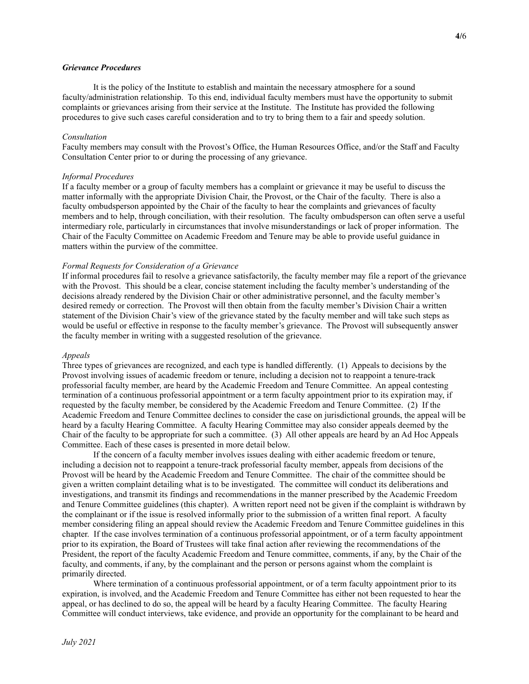## *Grievance Procedures*

It is the policy of the Institute to establish and maintain the necessary atmosphere for a sound faculty/administration relationship. To this end, individual faculty members must have the opportunity to submit complaints or grievances arising from their service at the Institute. The Institute has provided the following procedures to give such cases careful consideration and to try to bring them to a fair and speedy solution.

### *Consultation*

Faculty members may consult with the Provost's Office, the Human Resources Office, and/or the Staff and Faculty Consultation Center prior to or during the processing of any grievance.

### *Informal Procedures*

If a faculty member or a group of faculty members has a complaint or grievance it may be useful to discuss the matter informally with the appropriate Division Chair, the Provost, or the Chair of the faculty. There is also a faculty ombudsperson appointed by the Chair of the faculty to hear the complaints and grievances of faculty members and to help, through conciliation, with their resolution. The faculty ombudsperson can often serve a useful intermediary role, particularly in circumstances that involve misunderstandings or lack of proper information. The Chair of the Faculty Committee on Academic Freedom and Tenure may be able to provide useful guidance in matters within the purview of the committee.

### *Formal Requests for Consideration of a Grievance*

If informal procedures fail to resolve a grievance satisfactorily, the faculty member may file a report of the grievance with the Provost. This should be a clear, concise statement including the faculty member's understanding of the decisions already rendered by the Division Chair or other administrative personnel, and the faculty member's desired remedy or correction. The Provost will then obtain from the faculty member's Division Chair a written statement of the Division Chair's view of the grievance stated by the faculty member and will take such steps as would be useful or effective in response to the faculty member's grievance. The Provost will subsequently answer the faculty member in writing with a suggested resolution of the grievance.

#### *Appeals*

Three types of grievances are recognized, and each type is handled differently. (1) Appeals to decisions by the Provost involving issues of academic freedom or tenure, including a decision not to reappoint a tenure-track professorial faculty member, are heard by the Academic Freedom and Tenure Committee. An appeal contesting termination of a continuous professorial appointment or a term faculty appointment prior to its expiration may, if requested by the faculty member, be considered by the Academic Freedom and Tenure Committee. (2) If the Academic Freedom and Tenure Committee declines to consider the case on jurisdictional grounds, the appeal will be heard by a faculty Hearing Committee. A faculty Hearing Committee may also consider appeals deemed by the Chair of the faculty to be appropriate for such a committee. (3) All other appeals are heard by an Ad Hoc Appeals Committee. Each of these cases is presented in more detail below.

If the concern of a faculty member involves issues dealing with either academic freedom or tenure, including a decision not to reappoint a tenure-track professorial faculty member, appeals from decisions of the Provost will be heard by the Academic Freedom and Tenure Committee. The chair of the committee should be given a written complaint detailing what is to be investigated. The committee will conduct its deliberations and investigations, and transmit its findings and recommendations in the manner prescribed by the Academic Freedom and Tenure Committee guidelines (this chapter). A written report need not be given if the complaint is withdrawn by the complainant or if the issue is resolved informally prior to the submission of a written final report. A faculty member considering filing an appeal should review the Academic Freedom and Tenure Committee guidelines in this chapter. If the case involves termination of a continuous professorial appointment, or of a term faculty appointment prior to its expiration, the Board of Trustees will take final action after reviewing the recommendations of the President, the report of the faculty Academic Freedom and Tenure committee, comments, if any, by the Chair of the faculty, and comments, if any, by the complainant and the person or persons against whom the complaint is primarily directed.

Where termination of a continuous professorial appointment, or of a term faculty appointment prior to its expiration, is involved, and the Academic Freedom and Tenure Committee has either not been requested to hear the appeal, or has declined to do so, the appeal will be heard by a faculty Hearing Committee. The faculty Hearing Committee will conduct interviews, take evidence, and provide an opportunity for the complainant to be heard and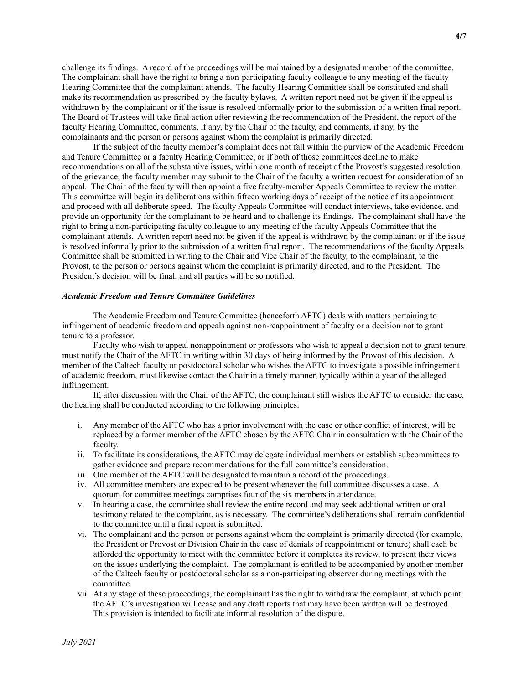challenge its findings. A record of the proceedings will be maintained by a designated member of the committee. The complainant shall have the right to bring a non-participating faculty colleague to any meeting of the faculty Hearing Committee that the complainant attends. The faculty Hearing Committee shall be constituted and shall make its recommendation as prescribed by the faculty bylaws. A written report need not be given if the appeal is withdrawn by the complainant or if the issue is resolved informally prior to the submission of a written final report. The Board of Trustees will take final action after reviewing the recommendation of the President, the report of the faculty Hearing Committee, comments, if any, by the Chair of the faculty, and comments, if any, by the complainants and the person or persons against whom the complaint is primarily directed.

If the subject of the faculty member's complaint does not fall within the purview of the Academic Freedom and Tenure Committee or a faculty Hearing Committee, or if both of those committees decline to make recommendations on all of the substantive issues, within one month of receipt of the Provost's suggested resolution of the grievance, the faculty member may submit to the Chair of the faculty a written request for consideration of an appeal. The Chair of the faculty will then appoint a five faculty-member Appeals Committee to review the matter. This committee will begin its deliberations within fifteen working days of receipt of the notice of its appointment and proceed with all deliberate speed. The faculty Appeals Committee will conduct interviews, take evidence, and provide an opportunity for the complainant to be heard and to challenge its findings. The complainant shall have the right to bring a non-participating faculty colleague to any meeting of the faculty Appeals Committee that the complainant attends. A written report need not be given if the appeal is withdrawn by the complainant or if the issue is resolved informally prior to the submission of a written final report. The recommendations of the faculty Appeals Committee shall be submitted in writing to the Chair and Vice Chair of the faculty, to the complainant, to the Provost, to the person or persons against whom the complaint is primarily directed, and to the President. The President's decision will be final, and all parties will be so notified.

#### *Academic Freedom and Tenure Committee Guidelines*

The Academic Freedom and Tenure Committee (henceforth AFTC) deals with matters pertaining to infringement of academic freedom and appeals against non-reappointment of faculty or a decision not to grant tenure to a professor.

Faculty who wish to appeal nonappointment or professors who wish to appeal a decision not to grant tenure must notify the Chair of the AFTC in writing within 30 days of being informed by the Provost of this decision. A member of the Caltech faculty or postdoctoral scholar who wishes the AFTC to investigate a possible infringement of academic freedom, must likewise contact the Chair in a timely manner, typically within a year of the alleged infringement.

If, after discussion with the Chair of the AFTC, the complainant still wishes the AFTC to consider the case, the hearing shall be conducted according to the following principles:

- i. Any member of the AFTC who has a prior involvement with the case or other conflict of interest, will be replaced by a former member of the AFTC chosen by the AFTC Chair in consultation with the Chair of the faculty.
- ii. To facilitate its considerations, the AFTC may delegate individual members or establish subcommittees to gather evidence and prepare recommendations for the full committee's consideration.
- iii. One member of the AFTC will be designated to maintain a record of the proceedings.
- iv. All committee members are expected to be present whenever the full committee discusses a case. A quorum for committee meetings comprises four of the six members in attendance.
- v. In hearing a case, the committee shall review the entire record and may seek additional written or oral testimony related to the complaint, as is necessary. The committee's deliberations shall remain confidential to the committee until a final report is submitted.
- vi. The complainant and the person or persons against whom the complaint is primarily directed (for example, the President or Provost or Division Chair in the case of denials of reappointment or tenure) shall each be afforded the opportunity to meet with the committee before it completes its review, to present their views on the issues underlying the complaint. The complainant is entitled to be accompanied by another member of the Caltech faculty or postdoctoral scholar as a non-participating observer during meetings with the committee.
- vii. At any stage of these proceedings, the complainant has the right to withdraw the complaint, at which point the AFTC's investigation will cease and any draft reports that may have been written will be destroyed. This provision is intended to facilitate informal resolution of the dispute.